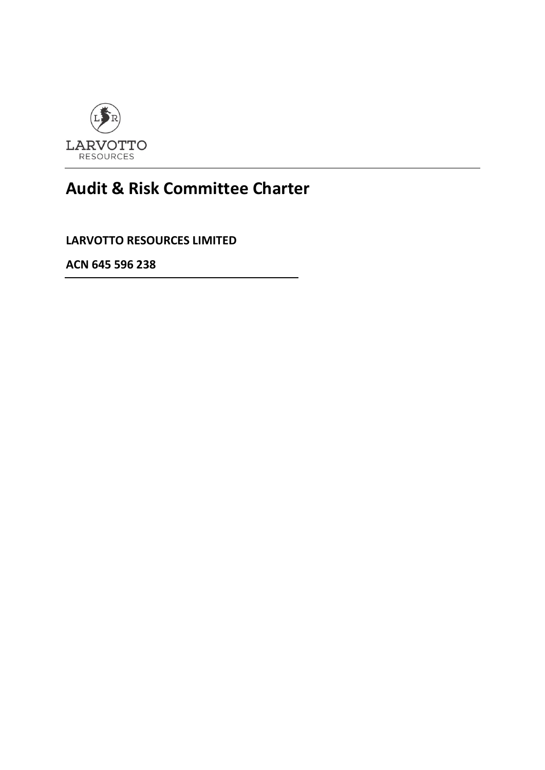

# **Audit & Risk Committee Charter**

**LARVOTTO RESOURCES LIMITED**

**ACN 645 596 238**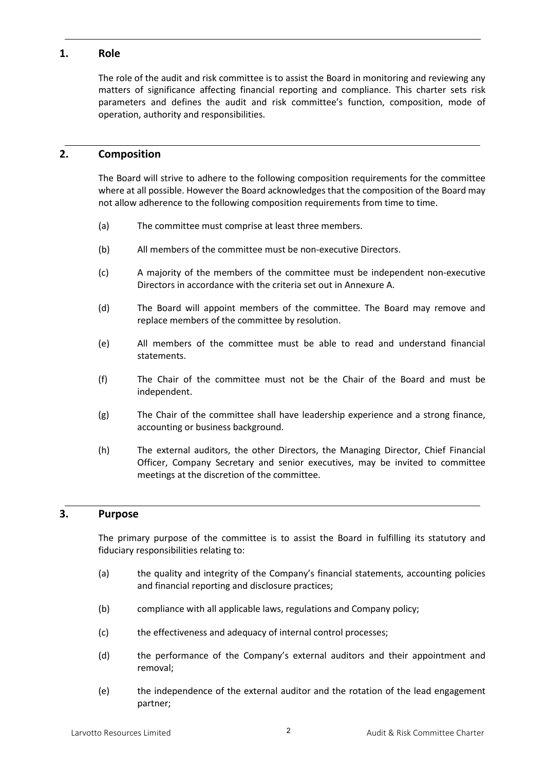### **1. Role**

The role of the audit and risk committee is to assist the Board in monitoring and reviewing any matters of significance affecting financial reporting and compliance. This charter sets risk parameters and defines the audit and risk committee's function, composition, mode of operation, authority and responsibilities.

### **2. Composition**

The Board will strive to adhere to the following composition requirements for the committee where at all possible. However the Board acknowledges that the composition of the Board may not allow adherence to the following composition requirements from time to time.

- (a) The committee must comprise at least three members.
- (b) All members of the committee must be non-executive Directors.
- (c) A majority of the members of the committee must be independent non-executive Directors in accordance with the criteria set out in Annexure A.
- (d) The Board will appoint members of the committee. The Board may remove and replace members of the committee by resolution.
- (e) All members of the committee must be able to read and understand financial statements.
- (f) The Chair of the committee must not be the Chair of the Board and must be independent.
- (g) The Chair of the committee shall have leadership experience and a strong finance, accounting or business background.
- (h) The external auditors, the other Directors, the Managing Director, Chief Financial Officer, Company Secretary and senior executives, may be invited to committee meetings at the discretion of the committee.

#### **3. Purpose**

The primary purpose of the committee is to assist the Board in fulfilling its statutory and fiduciary responsibilities relating to:

- (a) the quality and integrity of the Company's financial statements, accounting policies and financial reporting and disclosure practices;
- (b) compliance with all applicable laws, regulations and Company policy;
- (c) the effectiveness and adequacy of internal control processes;
- (d) the performance of the Company's external auditors and their appointment and removal;
- (e) the independence of the external auditor and the rotation of the lead engagement partner;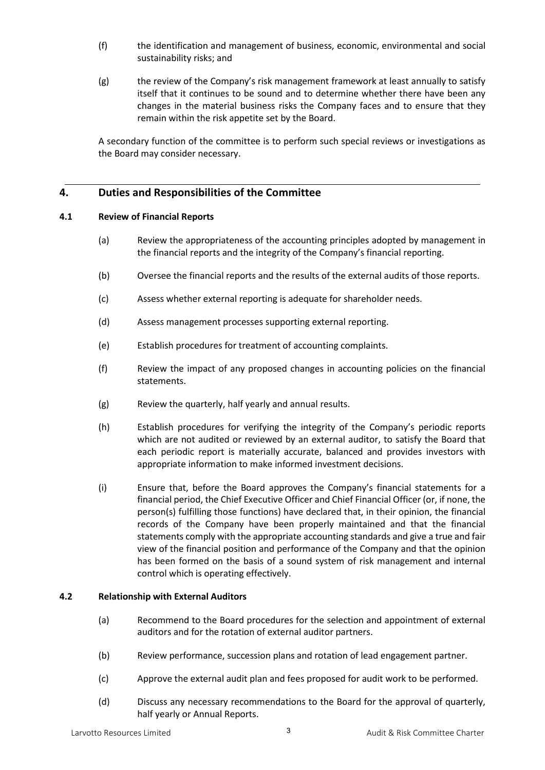- (f) the identification and management of business, economic, environmental and social sustainability risks; and
- (g) the review of the Company's risk management framework at least annually to satisfy itself that it continues to be sound and to determine whether there have been any changes in the material business risks the Company faces and to ensure that they remain within the risk appetite set by the Board.

A secondary function of the committee is to perform such special reviews or investigations as the Board may consider necessary.

## **4. Duties and Responsibilities of the Committee**

#### **4.1 Review of Financial Reports**

- (a) Review the appropriateness of the accounting principles adopted by management in the financial reports and the integrity of the Company's financial reporting.
- (b) Oversee the financial reports and the results of the external audits of those reports.
- (c) Assess whether external reporting is adequate for shareholder needs.
- (d) Assess management processes supporting external reporting.
- (e) Establish procedures for treatment of accounting complaints.
- (f) Review the impact of any proposed changes in accounting policies on the financial statements.
- (g) Review the quarterly, half yearly and annual results.
- (h) Establish procedures for verifying the integrity of the Company's periodic reports which are not audited or reviewed by an external auditor, to satisfy the Board that each periodic report is materially accurate, balanced and provides investors with appropriate information to make informed investment decisions.
- (i) Ensure that, before the Board approves the Company's financial statements for a financial period, the Chief Executive Officer and Chief Financial Officer (or, if none, the person(s) fulfilling those functions) have declared that, in their opinion, the financial records of the Company have been properly maintained and that the financial statements comply with the appropriate accounting standards and give a true and fair view of the financial position and performance of the Company and that the opinion has been formed on the basis of a sound system of risk management and internal control which is operating effectively.

#### **4.2 Relationship with External Auditors**

- (a) Recommend to the Board procedures for the selection and appointment of external auditors and for the rotation of external auditor partners.
- (b) Review performance, succession plans and rotation of lead engagement partner.
- (c) Approve the external audit plan and fees proposed for audit work to be performed.
- (d) Discuss any necessary recommendations to the Board for the approval of quarterly, half yearly or Annual Reports.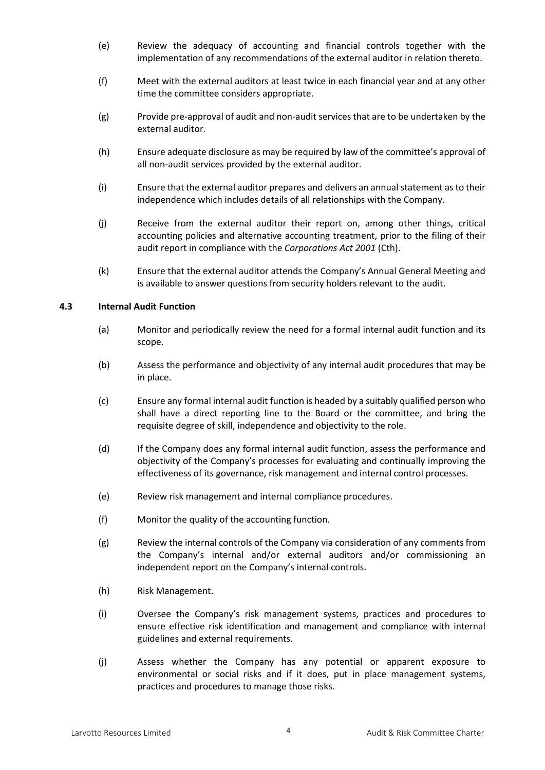- (e) Review the adequacy of accounting and financial controls together with the implementation of any recommendations of the external auditor in relation thereto.
- (f) Meet with the external auditors at least twice in each financial year and at any other time the committee considers appropriate.
- (g) Provide pre-approval of audit and non-audit services that are to be undertaken by the external auditor.
- (h) Ensure adequate disclosure as may be required by law of the committee's approval of all non-audit services provided by the external auditor.
- (i) Ensure that the external auditor prepares and delivers an annual statement as to their independence which includes details of all relationships with the Company.
- (j) Receive from the external auditor their report on, among other things, critical accounting policies and alternative accounting treatment, prior to the filing of their audit report in compliance with the *Corporations Act 2001* (Cth).
- (k) Ensure that the external auditor attends the Company's Annual General Meeting and is available to answer questions from security holders relevant to the audit.

#### **4.3 Internal Audit Function**

- (a) Monitor and periodically review the need for a formal internal audit function and its scope.
- (b) Assess the performance and objectivity of any internal audit procedures that may be in place.
- (c) Ensure any formal internal audit function is headed by a suitably qualified person who shall have a direct reporting line to the Board or the committee, and bring the requisite degree of skill, independence and objectivity to the role.
- (d) If the Company does any formal internal audit function, assess the performance and objectivity of the Company's processes for evaluating and continually improving the effectiveness of its governance, risk management and internal control processes.
- (e) Review risk management and internal compliance procedures.
- (f) Monitor the quality of the accounting function.
- (g) Review the internal controls of the Company via consideration of any comments from the Company's internal and/or external auditors and/or commissioning an independent report on the Company's internal controls.
- (h) Risk Management.
- (i) Oversee the Company's risk management systems, practices and procedures to ensure effective risk identification and management and compliance with internal guidelines and external requirements.
- (j) Assess whether the Company has any potential or apparent exposure to environmental or social risks and if it does, put in place management systems, practices and procedures to manage those risks.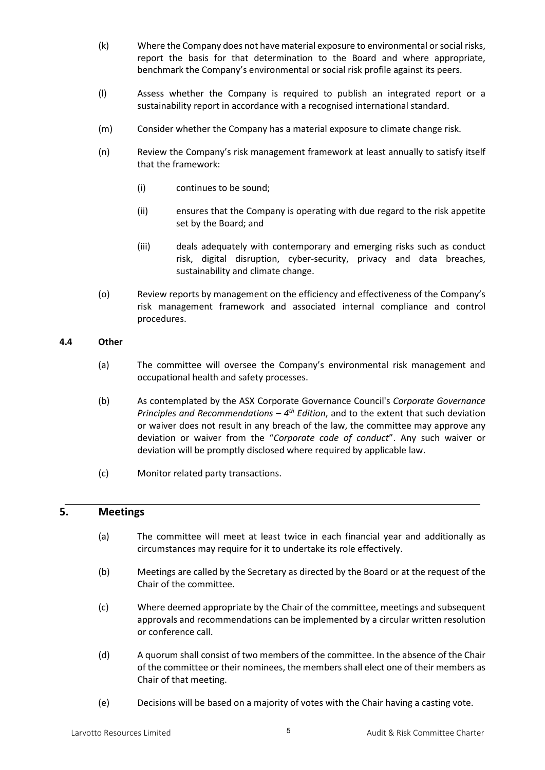- (k) Where the Company does not have material exposure to environmental or social risks, report the basis for that determination to the Board and where appropriate, benchmark the Company's environmental or social risk profile against its peers.
- (l) Assess whether the Company is required to publish an integrated report or a sustainability report in accordance with a recognised international standard.
- (m) Consider whether the Company has a material exposure to climate change risk.
- (n) Review the Company's risk management framework at least annually to satisfy itself that the framework:
	- (i) continues to be sound;
	- (ii) ensures that the Company is operating with due regard to the risk appetite set by the Board; and
	- (iii) deals adequately with contemporary and emerging risks such as conduct risk, digital disruption, cyber-security, privacy and data breaches, sustainability and climate change.
- (o) Review reports by management on the efficiency and effectiveness of the Company's risk management framework and associated internal compliance and control procedures.

#### **4.4 Other**

- (a) The committee will oversee the Company's environmental risk management and occupational health and safety processes.
- (b) As contemplated by the ASX Corporate Governance Council's *Corporate Governance Principles and Recommendations – 4th Edition*, and to the extent that such deviation or waiver does not result in any breach of the law, the committee may approve any deviation or waiver from the "*Corporate code of conduct*". Any such waiver or deviation will be promptly disclosed where required by applicable law.
- (c) Monitor related party transactions.

## **5. Meetings**

- (a) The committee will meet at least twice in each financial year and additionally as circumstances may require for it to undertake its role effectively.
- (b) Meetings are called by the Secretary as directed by the Board or at the request of the Chair of the committee.
- (c) Where deemed appropriate by the Chair of the committee, meetings and subsequent approvals and recommendations can be implemented by a circular written resolution or conference call.
- (d) A quorum shall consist of two members of the committee. In the absence of the Chair of the committee or their nominees, the members shall elect one of their members as Chair of that meeting.
- (e) Decisions will be based on a majority of votes with the Chair having a casting vote.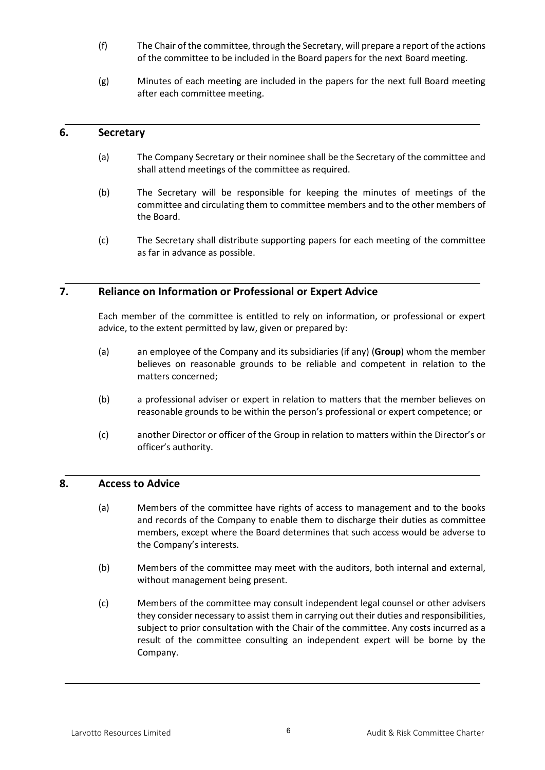- (f) The Chair of the committee, through the Secretary, will prepare a report of the actions of the committee to be included in the Board papers for the next Board meeting.
- (g) Minutes of each meeting are included in the papers for the next full Board meeting after each committee meeting.

#### **6. Secretary**

- (a) The Company Secretary or their nominee shall be the Secretary of the committee and shall attend meetings of the committee as required.
- (b) The Secretary will be responsible for keeping the minutes of meetings of the committee and circulating them to committee members and to the other members of the Board.
- (c) The Secretary shall distribute supporting papers for each meeting of the committee as far in advance as possible.

## **7. Reliance on Information or Professional or Expert Advice**

Each member of the committee is entitled to rely on information, or professional or expert advice, to the extent permitted by law, given or prepared by:

- (a) an employee of the Company and its subsidiaries (if any) (**Group**) whom the member believes on reasonable grounds to be reliable and competent in relation to the matters concerned;
- (b) a professional adviser or expert in relation to matters that the member believes on reasonable grounds to be within the person's professional or expert competence; or
- (c) another Director or officer of the Group in relation to matters within the Director's or officer's authority.

#### **8. Access to Advice**

- (a) Members of the committee have rights of access to management and to the books and records of the Company to enable them to discharge their duties as committee members, except where the Board determines that such access would be adverse to the Company's interests.
- (b) Members of the committee may meet with the auditors, both internal and external, without management being present.
- (c) Members of the committee may consult independent legal counsel or other advisers they consider necessary to assist them in carrying out their duties and responsibilities, subject to prior consultation with the Chair of the committee. Any costs incurred as a result of the committee consulting an independent expert will be borne by the Company.